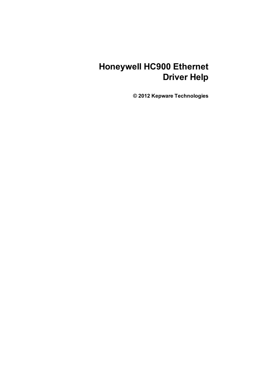# **Honeywell HC900 Ethernet Driver Help**

**© 2012 Kepware Technologies**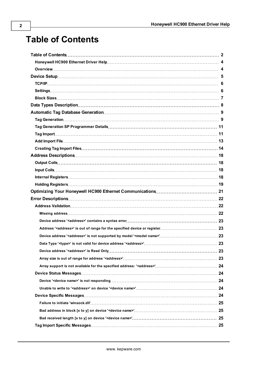# <span id="page-1-0"></span>**Table of Contents**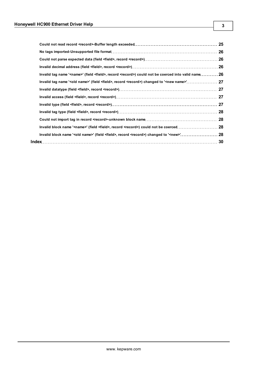|                                                                                                                             | 25 |
|-----------------------------------------------------------------------------------------------------------------------------|----|
|                                                                                                                             |    |
|                                                                                                                             |    |
|                                                                                                                             |    |
| Invalid tag name ' <name>' (field <field>, record <record>) could not be coerced into valid name 26</record></field></name> |    |
|                                                                                                                             |    |
|                                                                                                                             |    |
|                                                                                                                             |    |
|                                                                                                                             |    |
|                                                                                                                             |    |
|                                                                                                                             |    |
|                                                                                                                             |    |
|                                                                                                                             |    |
|                                                                                                                             |    |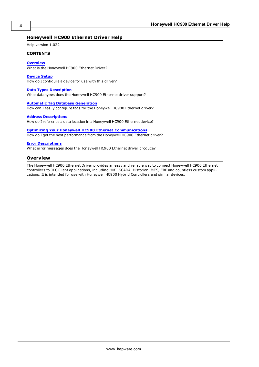## <span id="page-3-0"></span>**Honeywell HC900 Ethernet Driver Help**

Help version 1.022

#### **CONTENTS**

#### **[Overview](#page-3-1)**

What is the Honeywell HC900 Ethernet Driver?

#### **[Device](#page-4-0) [Setup](#page-4-0)**

How do I configure a device for use with this driver?

#### **[Data](#page-7-0) [Types](#page-7-0) [Description](#page-7-0)**

What data types does the Honeywell HC900 Ethernet driver support?

#### **[Automatic](#page-8-0) [Tag](#page-8-0) [Database](#page-8-0) [Generation](#page-8-0)**

How can I easily configure tags for the Honeywell HC900 Ethernet driver?

#### **[Address](#page-17-0) [Descriptions](#page-17-0)**

How do I reference a data location in a Honeywell HC900 Ethernet device?

**[Optimizing](#page-20-0) [Your](#page-20-0) [Honeywell](#page-20-0) [HC900](#page-20-0) [Ethernet](#page-20-0) [Communications](#page-20-0)** How do I get the best performance from the Honeywell HC900 Ethernet driver?

#### **[Error](#page-21-0) [Descriptions](#page-21-0)**

<span id="page-3-1"></span>What error messages does the Honeywell HC900 Ethernet driver produce?

#### **Overview**

The Honeywell HC900 Ethernet Driver provides an easy and reliable way to connect Honeywell HC900 Ethernet controllers to OPC Client applications, including HMI, SCADA, Historian, MES, ERP and countless custom applications. It is intended for use with Honeywell HC900 Hybrid Controllers and similar devices.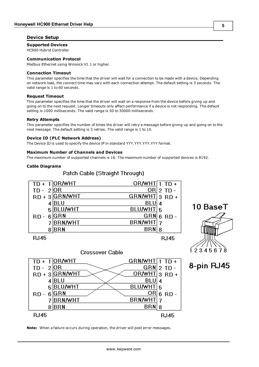## <span id="page-4-0"></span>**Device Setup**

## **Supported Devices**

HC900 Hybrid Controller

### **Communication Protocol**

Modbus Ethernet using Winsock V1.1 or higher.

#### **Connection Timeout**

This parameter specifies the time that the driver will wait for a connection to be made with a device. Depending on network load, the connect time may vary with each connection attempt. The default setting is 3 seconds. The valid range is 1 to 60 seconds.

## **Request Timeout**

This parameter specifies the time that the driver will wait on a response from the device before giving up and going on to the next request. Longer timeouts only affect performance if a device is not responding. The default setting is 1000 milliseconds. The valid range is 50 to 30000 milliseconds.

#### **Retry Attempts**

This parameter specifies the number of times the driver will retry a message before giving up and going on to the next message. The default setting is 3 retries. The valid range is 1 to 10.

#### **Device ID (PLC Network Address)**

The Device ID is used to specify the device IP in standard YYY.YYY.YYY.YYY format.

#### **Maximum Number of Channels and Devices**

The maximum number of supported channels is 16. The maximum number of supported devices is 8192.

#### **Cable Diagrams**





8-pin RJ45



**Crossover Cable** 

## **Note:** When a failure occurs during operation, the driver will post error messages.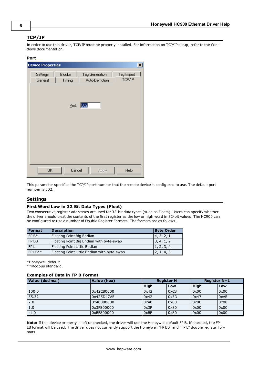## <span id="page-5-0"></span>**TCP/IP**

In order to use this driver, TCP/IP must be properly installed. For information on TCP/IP setup, refer to the Windows documentation.

#### **Port**

| <b>Device Properties</b><br>$\vert x \vert$ |                         |     |                                 |  |                      |  |
|---------------------------------------------|-------------------------|-----|---------------------------------|--|----------------------|--|
| Settings<br>General                         | <b>Blocks</b><br>Timing |     | Tag Generation<br>Auto-Demotion |  | Tag Import<br>TCP/IP |  |
|                                             |                         |     |                                 |  |                      |  |
|                                             | Port:                   | 502 |                                 |  |                      |  |
|                                             |                         |     |                                 |  |                      |  |
|                                             |                         |     |                                 |  |                      |  |
|                                             |                         |     |                                 |  |                      |  |
|                                             |                         |     |                                 |  |                      |  |
| 0K                                          | Cancel                  |     | Apply                           |  | Help                 |  |

This parameter specifies the TCP/IP port number that the remote device is configured to use. The default port number is 502.

#### <span id="page-5-1"></span>**Settings**

#### **First Word Low in 32 Bit Data Types (Float)**

Two consecutive register addresses are used for 32-bit data types (such as Floats). Users can specify whether the driver should treat the contents of the first register as the low or high word in 32-bit values. The HC900 can be configured to use a number of Double Register Formats. The formats are as follows.

| <b>Format</b> | <b>Description</b>                          | <b>Byte Order</b> |
|---------------|---------------------------------------------|-------------------|
| $FPB*$        | Floating Point Big Endian                   | 4, 3, 2, 1        |
| FP BB         | Floating Point Big Endian with byte-swap    | 3, 4, 1, 2        |
| FP L          | Floating Point Little Endian                | 1, 2, 3, 4        |
| $FP$   $R**$  | Floating Point Little Endian with byte-swap | 2, 1, 4, 3        |

\*Honeywell default.

\*\*Modbus standard.

### **Examples of Data in FP B Format**

| Value (decimal) | Value (hex) | <b>Register N</b> |      | <b>Register N+1</b> |      |
|-----------------|-------------|-------------------|------|---------------------|------|
|                 |             | Hiah              | Low  | <b>High</b>         | Low  |
| 100.0           | 0x42C80000  | 0x42              | 0xC8 | 0x00                | 0x00 |
| 55.32           | 0x425D47AE  | 0x42              | 0x5D | 0x47                | 0xAE |
| 2.0             | 0x40000000  | 0x40              | 0x00 | 0x00                | 0x00 |
| 1.0             | 0x3F800000  | 0x3F              | 0x80 | 0x00                | 0x00 |
| $-1.0$          | 0xBF800000  | 0xBF              | 0x80 | 0x00                | 0x00 |

**Note:** If this device property is left unchecked, the driver will use the Honeywell default FP B. If checked, the FP LB format will be used. The driver does not currently support the Honeywell "FP BB" and "FP L" double register formats.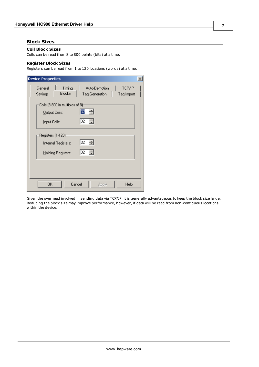## <span id="page-6-1"></span><span id="page-6-0"></span>**Block Sizes**

## **Coil Block Sizes**

<span id="page-6-2"></span>Coils can be read from 8 to 800 points (bits) at a time.

## **Register Block Sizes**

Registers can be read from 1 to 120 locations (words) at a time.

| <b>Device Properties</b><br>×                  |                                           |                                 |       |                      |  |  |  |
|------------------------------------------------|-------------------------------------------|---------------------------------|-------|----------------------|--|--|--|
| General<br>Settings                            | Timing<br><b>Blocks</b>                   | Auto-Demotion<br>Tag Generation |       | TCP/IP<br>Tag Import |  |  |  |
| <b>Qutput Coils:</b>                           | Coils (8-800 in multiples of 8)           | 32<br>클                         |       |                      |  |  |  |
| Input Coils:<br>Registers (1-120) <sup>.</sup> |                                           | 금<br>32                         |       |                      |  |  |  |
|                                                | Internal Registers:<br>Holding Registers: | 32 블<br>32 를                    |       |                      |  |  |  |
|                                                |                                           |                                 |       |                      |  |  |  |
| OΚ                                             |                                           | Cancel                          | Apply | Help                 |  |  |  |

Given the overhead involved in sending data via TCP/IP, it is generally advantageous to keep the block size large. Reducing the block size may improve performance, however, if data will be read from non-contiguous locations within the device.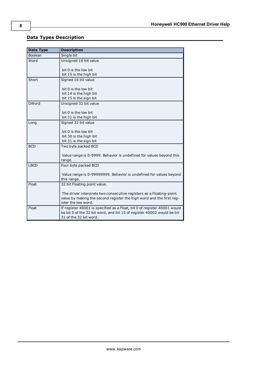## <span id="page-7-0"></span>**Data Types Description**

<span id="page-7-8"></span><span id="page-7-7"></span><span id="page-7-6"></span><span id="page-7-5"></span><span id="page-7-4"></span><span id="page-7-3"></span><span id="page-7-2"></span><span id="page-7-1"></span>

| <b>Data Type</b> | <b>Description</b>                                                                                                                                                                                 |
|------------------|----------------------------------------------------------------------------------------------------------------------------------------------------------------------------------------------------|
| Boolean          | Single bit                                                                                                                                                                                         |
| Word             | Unsigned 16 bit value<br>bit 0 is the low bit<br>bit 15 is the high bit                                                                                                                            |
| Short            | Signed 16 bit value<br>bit 0 is the low bit<br>bit 14 is the high bit<br>bit 15 is the sign bit                                                                                                    |
| <b>DWord</b>     | Unsigned 32 bit value<br>bit 0 is the low bit<br>bit 31 is the high bit                                                                                                                            |
| Long             | Signed 32 bit value<br>bit 0 is the low bit<br>bit 30 is the high bit<br>bit 31 is the sign bit                                                                                                    |
| <b>BCD</b>       | Two byte packed BCD<br>Value range is 0-9999. Behavior is undefined for values beyond this<br>range.                                                                                               |
| <b>LBCD</b>      | Four byte packed BCD<br>Value range is 0-99999999. Behavior is undefined for values beyond<br>this range.                                                                                          |
| Float            | 32 bit Floating point value.<br>The driver interprets two consecutive registers as a Floating-point<br>value by making the second register the high word and the first reg-<br>ister the low word. |
| Float            | If register 40001 is specified as a Float, bit 0 of register 40001 would<br>be bit 0 of the 32 bit word, and bit 15 of register 40002 would be bit<br>31 of the 32 bit word.                       |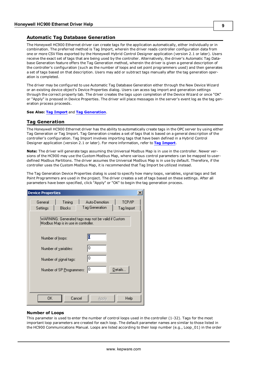## <span id="page-8-0"></span>**Automatic Tag Database Generation**

The Honeywell HC900 Ethernet driver can create tags for the application automatically, either individually or in combination. The preferred method is Tag Import, wherein the driver reads controller configuration data from one or more CSV files exported by the Honeywell Hybrid Control Designer application (version 2.1 or later). Users receive the exact set of tags that are being used by the controller. Alternatively, the driver's Automatic Tag Database Generation feature offers the Tag Generation method, wherein the driver is given a general description of the controller's configuration (such as the number of loops and set point programmers used) and then generates a set of tags based on that description. Users may add or subtract tags manually after the tag generation operation is completed.

The driver may be configured to use Automatic Tag Database Generation either through the New Device Wizard or an existing device object's Device Properties dialog. Users can acess tag import and generation settings through the correct property tab. The driver creates the tags upon completion of the Device Wizard or once "OK" or "Apply" is pressed in Device Properties. The driver will place messages in the server's event log as the tag generation process proceeds.

<span id="page-8-1"></span>**See Also: [Tag](#page-10-1) [Import](#page-10-1)** and **[Tag](#page-8-1) [Generation](#page-8-1)**.

## **Tag Generation**

The Honeywell HC900 Ethernet driver has the ability to automatically create tags in the OPC server by using either Tag Generation or Tag Import. Tag Generation creates a set of tags that is based on a general description of the controller's configuration. Tag Import involves importing tags that have been defined in a Hybrid Control Designer application (version 2.1 or later). For more information, refer to **[Tag](#page-10-1) [Import](#page-10-1)**.

**Note:** The driver will generate tags assuming the Universal Modbus Map is in use in the controller. Newer versions of the HC900 may use the Custom Modbus Map, where various control parameters can be mapped to userdefined Modbus Partitions. The driver assumes the Universal Modbus Map is in use by default. Therefore, if the controller uses the Custom Modbus Map, it is recommended that Tag Import be utilized instead.

The Tag Generation Device Properties dialog is used to specify how many loops, variables, signal tags and Set Point Programmers are used in the project. The driver creates a set of tags based on these settings. After all parameters have been specified, click "Apply" or "OK" to begin the tag generation process.

| <b>Device Properties</b> |                                     |        |                                                    |                      |  |
|--------------------------|-------------------------------------|--------|----------------------------------------------------|----------------------|--|
| General<br>Settings      | Timing<br><b>Blocks</b>             |        | Auto-Demotion<br>Tag Generation                    | TCP/IP<br>Tag Import |  |
|                          | Modbus Map is in use in controller. |        | WARNING: Generated tags may not be valid if Custom |                      |  |
| Number of loops:         |                                     |        | O                                                  |                      |  |
|                          | Number of variables:                |        | 10                                                 |                      |  |
|                          | Number of signal tags:              |        | 10                                                 |                      |  |
|                          | Number of SP Programmers:           |        | 10                                                 | Details              |  |
|                          |                                     |        |                                                    |                      |  |
| 0K.                      |                                     | Cancel | Apply                                              | Help                 |  |

## **Number of Loops**

This parameter is used to enter the number of control loops used in the controller (1-32). Tags for the most important loop parameters are created for each loop. The default parameter names are similar to those listed in the HC900 Communications Manual. Loops are listed according to their loop number (e.g., Loop\_01) in the order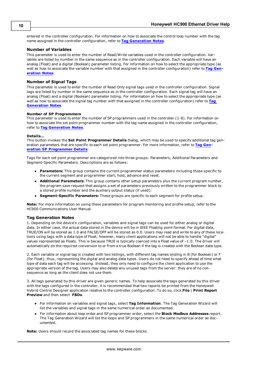entered in the controller configuration. For information on how to associate the control loop number with the tag name assigned in the controller configuration, refer to **[Tag](#page-9-0) [Generation](#page-9-0) [Notes](#page-9-0)**.

#### **Number of Variables**

This parameter is used to enter the number of Read/Write variables used in the controller configuration. Variables are listed by number in the same sequence as in the controller configuration. Each variable will have an analog (Float) and a digital (Boolean) parameter listing. For information on how to select the appropriate type (as well as how to associate the variable number with that assigned in the controller configuration) refer to **[Tag](#page-9-0) [Gen](#page-9-0)[eration](#page-9-0) [Notes](#page-9-0)**.

### **Number of Signal Tags**

This parameter is used to enter the number of Read Only signal tags used in the controller configuration. Signal tags are listed by number in the same sequence as in the controller configuration. Each signal tag will have an analog (Float) and a digital (Boolean) parameter listing. For information on how to select the appropriate type (as well as how to associate the signal tag number with that assigned in the controller configuration) refer to **[Tag](#page-9-0) [Generation](#page-9-0) [Notes](#page-9-0)**.

#### **Number of SP Programmers**

This parameter is used to enter the number of SP programmers used in the controller (1-8). For information on how to associate the set point programmer number with the tag name assigned in the controller configuration, refer to **[Tag](#page-9-0) [Generation](#page-9-0) [Notes](#page-9-0)**.

#### **Details...**

This button invokes the **Set Point Programmer Details** dialog, which may be used to specify additional tag generation parameters that are specific to each set point programmer. For more information, refer to **[Tag](#page-10-0) [Gen](#page-10-0)[eration](#page-10-0) [SP](#page-10-0) [Programmer](#page-10-0) [Details](#page-10-0)**.

Tags for each set point programmer are categorized into three groups: Parameters, Additional Parameters and Segment-Specific Parameters. Descriptions are as follows:

- **Parameters:** This group contains the current programmer status parameters including those specific to the current segment and programmer start, hold, advance and reset.
- **Additional Parameters:** This group contains other setup parameters plus the current program number, the program save request that assigns a set of parameters previously written to the programmer block to a stored profile number and the auxiliary output status (if used).
- **Segment-Specific Parameters:** These groups are specific to each segment for profile setup.

<span id="page-9-0"></span>**Note:** For more information on using these parameters for program monitoring and profile setup, refer to the HC900 Communications User Manual.

#### **Tag Generation Notes**

1. Depending on the device's configuration, variables and signal tags can be used for either analog or digital data. In either case, the actual data stored in the device will be in IEEE Floating point format. For digital data, TRUE/ON will be stored as 1.0 and FALSE/OFF will be stored as 0.0. Users may read and write to any of these locations using tags with a data type of Float; however, many client applications will not be able to handle "digital" values represented as Floats. This is because TRUE is typically coerced into a Float value of –1.0. The driver will automatically do the required conversion to or from a true Boolean if the tag is created with the Boolean data type.

2. Each variable or signal tag is created with two listings, with different tag names ending in B (for Boolean) or F (for Float); thus, representing the digital and analog data types. Users do not need to specify ahead of time what type of data each tag will be accessing. Instead, they only need to configure the client application to use the appropriate version of the tag. Users may also delete any unused tags from the server: they are of no consequence as long as the client does not use them.

3. All tags generated by this driver are given generic names. To help associate the tags generated by this driver with the tags configured in the controller, it is recommended that two reports be printed from the Honeywell Hybrid Control Designer application relative to the controller configuration. To do so, click **File** | **Print Report Preview** and then select **FBDs**.

- <sup>l</sup> For information on variables and signal tags, select **Tag Information**. The Tag Generation Wizard will list the variables and signal tags in the same numerical order as documented.
- <sup>l</sup> For information about loop order and SP programmer order, select the **Block Modbus Addresses** report. The Tag Generation Wizard will list the loops and SP programmers in the same numerical order as documented.

**Note:** Users should record the associated tag names for these blocks.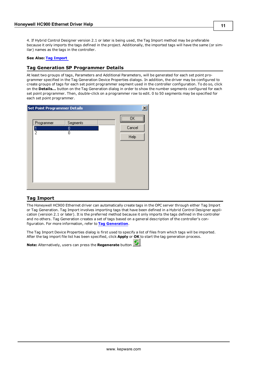4. If Hybrid Control Designer version 2.1 or later is being used, the Tag Import method may be preferable because it only imports the tags defined in the project. Additionally, the imported tags will have the same (or similar) names as the tags in the controller.

#### <span id="page-10-0"></span>**See Also: [Tag](#page-10-1) [Import](#page-10-1)**

## **Tag Generation SP Programmer Details**

At least two groups of tags, Parameters and Additional Parameters, will be generated for each set point programmer specified in the Tag Generation Device Properties dialogs. In addition, the driver may be configured to create groups of tags for each set point programmer segment used in the controller configuration. To do so, click on the **Details...** button on the Tag Generation dialog in order to show the number segments configured for each set point programmer. Then, double-click on a programmer row to edit. 0 to 50 segments may be specified for each set point programmer.

| Set Point Programmer Details |                    |                                           |
|------------------------------|--------------------|-------------------------------------------|
| Programmer<br>2              | Segments<br>0<br>0 | $\overline{\mathsf{R}}$<br>Cancel<br>Help |
|                              |                    |                                           |

## <span id="page-10-1"></span>**Tag Import**

The Honeywell HC900 Ethernet driver can automatically create tags in the OPC server through either Tag Import or Tag Generation. Tag Import involves importing tags that have been defined in a Hybrid Control Designer application (version 2.1 or later). It is the preferred method because it only imports the tags defined in the controller and no others. Tag Generation creates a set of tags based on a general description of the controller's configuration. For more information, refer to **[Tag](#page-8-1) [Generation](#page-8-1)**.

The Tag Import Device Properties dialog is first used to specify a list of files from which tags will be imported. After the tag import file list has been specified, click **Apply** or **OK** to start the tag generation process.

**Note:** Alternatively, users can press the **Regenerate** button .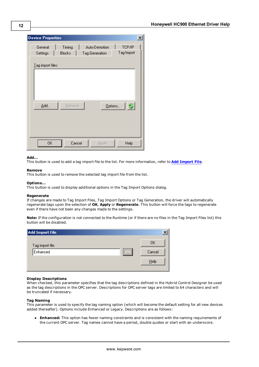| <b>Device Properties</b> |                         |                                 | $\vert x \vert$      |
|--------------------------|-------------------------|---------------------------------|----------------------|
| General<br>Settings      | Timing<br><b>Blocks</b> | Auto-Demotion<br>Tag Generation | TCP/IP<br>Tag Import |
| Lag import files:        |                         |                                 |                      |
|                          |                         |                                 |                      |
|                          |                         |                                 |                      |
| Add                      | <b>Remove</b>           |                                 | Options              |
|                          |                         |                                 |                      |
|                          |                         |                                 |                      |
| 0K                       | Cancel                  | Apply                           | Help                 |

#### **Add...**

This button is used to add a tag import file to the list. For more information, refer to **[Add](#page-12-0) [Import](#page-12-0) [File](#page-12-0)**.

#### **Remove**

This button is used to remove the selected tag import file from the list.

#### **Options...**

This button is used to display additional options in the Tag Import Options dialog.

#### **Regenerate**

If changes are made to Tag Import Files, Tag Import Options or Tag Generation, the driver will automatically regenerate tags upon the selection of **OK**, **Apply** or **Regenerate**. This button will force the tags to regenerate even if there have not been any changes made to the settings.

**Note:** If the configuration is not connected to the Runtime (or if there are no files in the Tag Import Files list) this button will be disabled.

| Add Import File                                    |        |
|----------------------------------------------------|--------|
| Tag import file:                                   | OΚ     |
| ,,,,,,,,,,,<br>Enhanced<br>$\cdots$<br>*********** | Cancel |
|                                                    | Help   |

#### **Display Descriptions**

When checked, this parameter specifies that the tag descriptions defined in the Hybrid Control Designer be used as the tag descriptions in the OPC server. Descriptions for OPC server tags are limited to 64 characters and will be truncated if necessary.

#### **Tag Naming**

This parameter is used to specify the tag naming option (which will become the default setting for all new devices added thereafter). Options include Enhanced or Legacy. Descriptions are as follows:

**Enhanced:** This option has fewer naming constraints and is consistent with the naming requirements of the current OPC server. Tag names cannot have a period, double quotes or start with an underscore.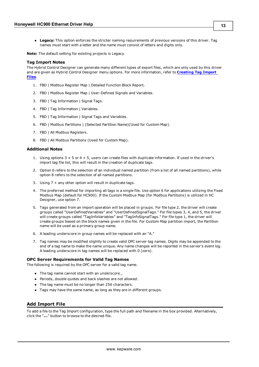**Legacy:** This option enforces the stricter naming requirements of previous versions of this driver. Tag names must start with a letter and the name must consist of letters and digits only.

**Note:** The default setting for existing projects is Legacy.

#### **Tag Import Notes**

The Hybrid Control Designer can generate many different types of export files, which are only used by this driver and are given as Hybrid Control Designer menu options. For more information, refer to **[Creating](#page-13-0) [Tag](#page-13-0) [Import](#page-13-0) [Files](#page-13-0)**.

- 1. FBD | Modbus Register Map | Detailed Function Block Report.
- 2. FBD | Modbus Register Map | User-Defined Signals and Variables.
- 3. FBD | Tag Information | Signal Tags.
- 4. FBD | Tag Information | Variables.
- 5. FBD | Tag Information | Signal Tags and Variables.
- 6. FBD | Modbus Partitions | (Selected Partition Name)(Used for Custom Map).
- 7. FBD | All Modbus Registers.
- 8. FBD | All Modbus Partitions (Used for Custom Map).

#### **Additional Notes**

- 1. Using options 3 + 5 or 4 + 5, users can create files with duplicate information. If used in the driver's import tag file list, this will result in the creation of duplicate tags.
- 2. Option 6 refers to the selection of an individual named partition (from a list of all named partitions), while option 8 refers to the selection of all named partitions.
- 3. Using 7 + any other option will result in duplicate tags.
- 4. The preferred method for importing all tags is a single file. Use option 6 for applications utilizing the Fixed Modbus Map (default for HC900). If the Custom Modbus Map (for Modbus Partitions) is utilized in HC Designer, use option 7.
- 5. Tags generated from an import operation will be placed in groups. For file type 2, the driver will create groups called "UserDefinedVariables" and "UserDefinedSignalTags." For file types 3, 4, and 5, the driver will create groups called "TagInfoVariables" and "TagInfoSignalTags." For file type 1, the driver will create groups based on the block names given in the file. For Custom Map partition import, the Partition name will be used as a primary group name.
- 6. A leading underscore in group names will be replaced with an "A."
- 7. Tag names may be modified slightly to create valid OPC server tag names. Digits may be appended to the end of a tag name to make the name unique. Any name changes will be reported in the server's event log. A leading underscore in tag names will be replaced with 0 (zero).

#### **OPC Server Requirements for Valid Tag Names**

The following is required by the OPC server for a valid tag name.

- The tag name cannot start with an underscore\_.
- Periods, double quotes and back slashes are not allowed.
- The tag name must be no longer than 256 characters.
- Tags may have the same name, as long as they are in different groups.

## <span id="page-12-0"></span>**Add Import File**

To add a file to the Tag Import configuration, type the full path and filename in the box provided. Alternatively, click the "**...**" button to browse to the desired file.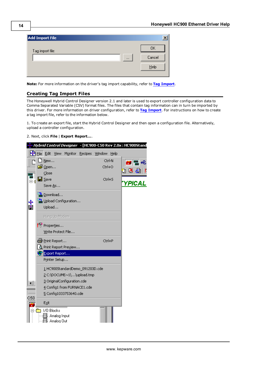| <b>Add Import File</b> |        |
|------------------------|--------|
| Tag import file:       | OΚ     |
| $\cdots$               | Cancel |
|                        | Help   |

<span id="page-13-0"></span>**Note:** For more information on the driver's tag import capability, refer to **[Tag](#page-10-1) [Import](#page-10-1)**.

## **Creating Tag Import Files**

The Honeywell Hybrid Control Designer version 2.1 and later is used to export controller configuration data to Comma Separated Variable (CSV) format files. The files that contain tag information can in turn be imported by this driver. For more information on driver configuration, refer to **[Tag](#page-10-1) [Import](#page-10-1)**. For instructions on how to create a tag import file, refer to the information below.

1. To create an export file, start the Hybrid Control Designer and then open a configuration file. Alternatively, upload a controller configuration.

2. Next, click **File** | **Export Report...**.

|         |                       |                         |                                 |                                 |        |        | <i>Hybrid Control Designer   -</i> [HC900-C50 Rev 2.0x : HC900Stand |
|---------|-----------------------|-------------------------|---------------------------------|---------------------------------|--------|--------|---------------------------------------------------------------------|
|         | File Edit             |                         | View Monitor                    | Recipes                         | Window | Help   |                                                                     |
|         | New                   |                         |                                 |                                 |        | Ctrl-N | 豐                                                                   |
|         | <mark>a}</mark> Open… |                         |                                 |                                 | Ctrl+O |        |                                                                     |
| m       | Close                 |                         |                                 |                                 |        |        | ΟK                                                                  |
| ш<br>Ėŀ | ∐∐ Save               |                         |                                 |                                 | Ctrl+S |        |                                                                     |
|         | Save As               |                         |                                 |                                 |        |        | YPICA                                                               |
|         |                       | <sup>8</sup> a Download |                                 |                                 |        |        |                                                                     |
|         |                       |                         | <b>Ban</b> Upload Configuration |                                 |        |        |                                                                     |
| ⊹<br>Li | Upload                |                         |                                 |                                 |        |        |                                                                     |
|         |                       | Hang Up Modem           |                                 |                                 |        |        |                                                                     |
|         |                       | Properties              |                                 |                                 |        |        |                                                                     |
|         |                       |                         | Write Protect File              |                                 |        |        |                                                                     |
|         |                       |                         |                                 |                                 |        |        |                                                                     |
|         |                       | <i>⊜</i> Print Report   |                                 |                                 | Ctrl+P |        |                                                                     |
|         |                       |                         | Print Report Preview            |                                 |        |        |                                                                     |
|         |                       | Export Report           |                                 |                                 |        |        |                                                                     |
|         |                       | Printer Setup           |                                 |                                 |        |        |                                                                     |
|         |                       |                         |                                 | 1 HC900StandardDemo_091203D.cde |        |        |                                                                     |
|         |                       |                         |                                 | 2 C:\DOCUME~1\\upload.tmp       |        |        |                                                                     |
|         |                       |                         | 3 OriginalConfiguration.cde     |                                 |        |        |                                                                     |
|         |                       |                         | 4 Config1 from FURNACE1.cde     |                                 |        |        |                                                                     |
|         |                       |                         | 5 Config1033753640.cde          |                                 |        |        |                                                                     |
| C50     | Exit                  |                         |                                 |                                 |        |        |                                                                     |
|         | 1/0 Blocks            |                         |                                 |                                 |        |        |                                                                     |
|         |                       | Analog Input            |                                 |                                 |        |        |                                                                     |
|         |                       | Analog Out              |                                 |                                 |        |        |                                                                     |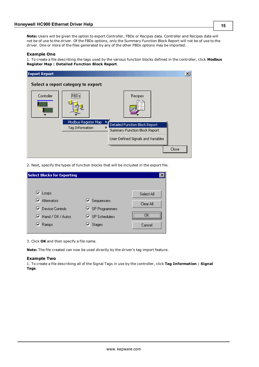**Note:** Users will be given the option to export Controller, FBDs or Recipes data. Controller and Recipes data will not be of use to the driver. Of the FBDs options, only the Summary Function Block Report will not be of use to the driver. One or more of the files generated by any of the other FBDs options may be imported.

#### **Example One**

1. To create a file describing the tags used by the various function blocks defined in the controller, click **Modbus Register Map** | **Detailed Function Block Report**.

| <b>Export Report</b> |                                        |                                                                                                            | $\vert x \vert$ |
|----------------------|----------------------------------------|------------------------------------------------------------------------------------------------------------|-----------------|
|                      | Select a report category to export:    |                                                                                                            |                 |
| Controller           | ,,,,,,,,,,,,,,<br>FBD≲                 | Recipes                                                                                                    |                 |
| um<br>HIIII          |                                        | アクヘッ                                                                                                       |                 |
|                      | Modbus Register Map<br>Tag Information | ▶<br>Detailed Function Block Report<br>Summary Function Block Report<br>User-Defined Signals and Variables |                 |
|                      |                                        |                                                                                                            | Close           |

2. Next, specify the types of function blocks that will be included in the export file.

| <b>Select Blocks for Exporting</b>         |                                        |            |
|--------------------------------------------|----------------------------------------|------------|
|                                            |                                        |            |
| $\triangledown$ Loops                      |                                        | Select All |
| $\overline{\mathbf{v}}$ Alternators        | $\blacktriangledown$ Sequencers        | Clear All  |
| <b>▽</b> Device Controls                   | $\overline{\mathsf{v}}$ SP Programmers |            |
| $\overline{\mathbf{v}}$ Hand / Off / Autos | $\overline{\mathbf{v}}$ SP Schedulers  |            |
| $\overline{\mathbf{v}}$ Ramps              | $\overline{\mathbf{v}}$ Stages         | Cancel     |
|                                            |                                        |            |

3. Click **OK** and then specify a file name.

**Note:** The file created can now be used directly by the driver's tag import feature.

#### **Example Two**

1. To create a file describing all of the Signal Tags in use by the controller, click **Tag Information** | **Signal Tags**.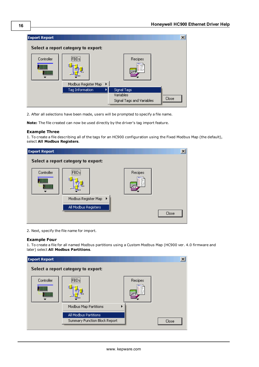

2. After all selections have been made, users will be prompted to specify a file name.

**Note:** The file created can now be used directly by the driver's tag import feature.

#### **Example Three**

1. To create a file describing all of the tags for an HC900 configuration using the Fixed Modbus Map (the default), select **All Modbus Registers**.

| <b>Export Report</b> |                                     |                        | $\vert x \vert$ |
|----------------------|-------------------------------------|------------------------|-----------------|
|                      | Select a report category to export: |                        |                 |
| Controller<br>ш      | ,,,,,,,,,,,,,,<br>iFBDsi            | Recipes<br><b>700v</b> |                 |
|                      | Modbus Register Map ▶               |                        |                 |
|                      | All Modbus Registers                |                        |                 |
|                      |                                     |                        | Close           |

2. Next, specify the file name for import.

## **Example Four**

1. To create a file for all named Modbus partitions using a Custom Modbus Map (HC900 ver. 4.0 firmware and later) select **All Modbus Partitions**.

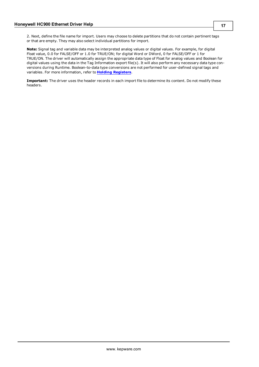2. Next, define the file name for import. Users may choose to delete partitions that do not contain pertinent tags or that are empty. They may also select individual partitions for import.

**Note:** Signal tag and variable data may be interpreted analog values or digital values. For example, for digital Float value, 0.0 for FALSE/OFF or 1.0 for TRUE/ON; for digital Word or DWord, 0 for FALSE/OFF or 1 for TRUE/ON. The driver will automatically assign the appropriate data type of Float for analog values and Boolean for digital values using the data in the Tag Information export file(s). It will also perform any necessary data type conversions during Runtime. Boolean-to-data type conversions are not performed for user-defined signal tags and variables. For more information, refer to **[Holding](#page-18-0) [Registers](#page-18-0)**.

**Important:** The driver uses the header records in each import file to determine its content. Do not modify these headers.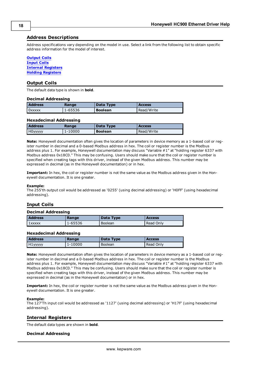## <span id="page-17-0"></span>**Address Descriptions**

Address specifications vary depending on the model in use. Select a link from the following list to obtain specific address information for the model of interest.

<span id="page-17-4"></span>**[Output](#page-17-1) [Coils](#page-17-1) [Input](#page-17-2) [Coils](#page-17-2) [Internal](#page-17-3) [Registers](#page-17-3) [Holding](#page-18-0) [Registers](#page-18-0)**

### <span id="page-17-1"></span>**Output Coils**

The default data type is shown in **bold**.

#### **Decimal Addressing**

| <b>Address</b> | Range   | Data Type      | <b>Access</b> |
|----------------|---------|----------------|---------------|
| 0xxxxx         | 1-65536 | <b>Boolean</b> | Read/Write    |

#### **Hexadecimal Addressing**

| <b>Address</b>      | Range   | Data Type      | <b>Access</b> |
|---------------------|---------|----------------|---------------|
| H <sub>0yyyyy</sub> | 1-10000 | <b>Boolean</b> | Read/Write    |

**Note:** Honeywell documentation often gives the location of parameters in device memory as a 1-based coil or register number in decimal and a 0-based Modbus address in hex. The coil or register number is the Modbus address plus 1. For example, Honeywell documentation may discuss "Variable #1" at "holding register 6337 with Modbus address 0x18C0." This may be confusing. Users should make sure that the coil or register number is specified when creating tags with this driver, instead of the given Modbus address. This number may be expressed in decimal (as in the Honeywell documentation) or in hex.

**Important:** In hex, the coil or register number is not the same value as the Modbus address given in the Honeywell documentation. It is one greater.

#### **Example:**

The 255'th output coil would be addressed as '0255' (using decimal addressing) or 'H0FF' (using hexadecimal addressing).

## <span id="page-17-2"></span>**Input Coils**

#### **Decimal Addressing**

| <b>Address</b> | Range   | Data Type | <b>Access</b> |
|----------------|---------|-----------|---------------|
| 1xxxxx         | L-65536 | Boolean   | Read Only     |

#### **Hexadecimal Addressing**

| <b>Address</b>       | Range   | Data Type | <b>Access</b> |
|----------------------|---------|-----------|---------------|
| H <sub>1</sub> yyyyy | 1-10000 | Boolean   | Read Only     |

**Note:** Honeywell documentation often gives the location of parameters in device memory as a 1-based coil or register number in decimal and a 0-based Modbus address in hex. The coil or register number is the Modbus address plus 1. For example, Honeywell documentation may discuss "Variable #1" at "holding register 6337 with Modbus address 0x18C0." This may be confusing. Users should make sure that the coil or register number is specified when creating tags with this driver, instead of the given Modbus address. This number may be expressed in decimal (as in the Honeywell documentation) or in hex.

**Important:** In hex, the coil or register number is not the same value as the Modbus address given in the Honeywell documentation. It is one greater.

#### **Example:**

The 127'Th input coil would be addressed as '1127' (using decimal addressing) or 'H17F' (using hexadecimal addressing).

## <span id="page-17-3"></span>**Internal Registers**

The default data types are shown in **bold**.

#### **Decimal Addressing**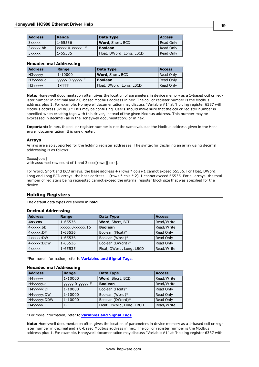| <b>Address</b> | Range            | Data Type                | <b>Access</b> |
|----------------|------------------|--------------------------|---------------|
| 3xxxxx         | 1-65536          | Word, Short, BCD         | Read Only     |
| 3xxxxx.bb      | xxxxx.0-xxxxx.15 | <b>Boolean</b>           | Read Only     |
| 3xxxxx         | 1-65535          | Float, DWord, Long, LBCD | Read Only     |

### **Hexadecimal Addressing**

| <b>Address</b> | Range           | Data Type                | <b>Access</b> |
|----------------|-----------------|--------------------------|---------------|
| H3yyyyy        | 1-10000         | <b>Word</b> , Short, BCD | Read Only     |
| H3yyyyy.c      | $yyyy0-yyyyy.F$ | <b>Boolean</b>           | Read Only     |
| H3yyyyy        | 1-FFFF          | Float, DWord, Long, LBCD | Read Only     |

**Note:** Honeywell documentation often gives the location of parameters in device memory as a 1-based coil or register number in decimal and a 0-based Modbus address in hex. The coil or register number is the Modbus address plus 1. For example, Honeywell documentation may discuss "Variable #1" at "holding register 6337 with Modbus address 0x18C0." This may be confusing. Users should make sure that the coil or register number is specified when creating tags with this driver, instead of the given Modbus address. This number may be expressed in decimal (as in the Honeywell documentation) or in hex.

**Important:** In hex, the coil or register number is not the same value as the Modbus address given in the Honeywell documentation. It is one greater.

#### **Arrays**

Arrays are also supported for the holding register addresses. The syntax for declaring an array using decimal addressing is as follows:

3xxxx[cols]

with assumed row count of 1 and 3xxxx[rows][cols].

For Word, Short and BCD arrays, the base address + (rows \* cols)-1 cannot exceed 65536. For Float, DWord, Long and Long BCD arrays, the base address + (rows \* cols \* 2)-1 cannot exceed 65535. For all arrays, the total number of registers being requested cannot exceed the internal register block size that was specified for the device.

## <span id="page-18-0"></span>**Holding Registers**

The default data types are shown in **bold**.

#### **Decimal Addressing**

| <b>Address</b> | Range            | Data Type                | <b>Access</b> |
|----------------|------------------|--------------------------|---------------|
| <b>4xxxxx</b>  | 1-65536          | Word, Short, BCD         | Read/Write    |
| 4xxxxx.bb      | xxxxx.0-xxxxx.15 | <b>Boolean</b>           | Read/Write    |
| 4xxxxx:DF      | 1-65536          | Boolean (Float)*         | Read Only     |
| 4xxxxx:DW      | 1-65536          | Boolean (Word)*          | Read Only     |
| 4xxxxx:DDW     | 1-65536          | Boolean (DWord)*         | Read Only     |
| 4xxxxx         | 1-65535          | Float, DWord, Long, LBCD | Read/Write    |

\*For more information, refer to **[Variables](#page-19-0) [and](#page-19-0) [Signal](#page-19-0) [Tags](#page-19-0)**.

#### **Hexadecimal Addressing**

| <b>Address</b> | Range             | Data Type                | <b>Access</b> |
|----------------|-------------------|--------------------------|---------------|
| H4yyyyy        | 1-10000           | Word, Short, BCD         | Read/Write    |
| Н4ууууу.с      | ууууу. 0-ууууу. Г | <b>Boolean</b>           | Read/Write    |
| H4yyyyy: DF    | 1-10000           | Boolean (Float)*         | Read Only     |
| H4yyyyy:DW     | 1-10000           | Boolean (Word)*          | Read Only     |
| H4yyyyy: DDW   | 1-10000           | Boolean (DWord)*         | Read Only     |
| H4yyyyy        | $1 - FFFF$        | Float, DWord, Long, LBCD | Read/Write    |

\*For more information, refer to **[Variables](#page-19-0) [and](#page-19-0) [Signal](#page-19-0) [Tags](#page-19-0)**.

**Note:** Honeywell documentation often gives the location of parameters in device memory as a 1-based coil or register number in decimal and a 0-based Modbus address in hex. The coil or register number is the Modbus address plus 1. For example, Honeywell documentation may discuss "Variable #1" at "holding register 6337 with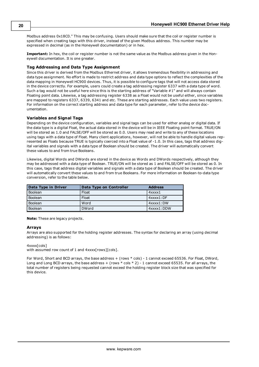Modbus address 0x18C0." This may be confusing. Users should make sure that the coil or register number is specified when creating tags with this driver, instead of the given Modbus address. This number may be expressed in decimal (as in the Honeywell documentation) or in hex.

**Important:** In hex, the coil or register number is not the same value as the Modbus address given in the Honeywell documentation. It is one greater.

## **Tag Addressing and Data Type Assignment**

Since this driver is derived from the Modbus Ethernet driver, it allows tremendous flexibility in addressing and data type assignment. No effort is made to restrict address and data type options to reflect the complexities of the data mapping in Honeywell HC900 devices. Thus, it is possible to configure tags that will not access data stored in the device correctly. For example, users could create a tag addressing register 6337 with a data type of word. Such a tag would not be useful here since this is the starting address of "Variable #1" and will always contain Floating point data. Likewise, a tag addressing register 6338 as a Float would not be useful either, since variables are mapped to registers 6337, 6339, 6341 and etc. These are starting addresses. Each value uses two registers. For information on the correct starting address and data type for each parameter, refer to the device documentation.

## <span id="page-19-0"></span>**Variables and Signal Tags**

Depending on the device configuration, variables and signal tags can be used for either analog or digital data. If the data type is a digital Float, the actual data stored in the device will be in IEEE Floating point format. TRUE/ON will be stored as 1.0 and FALSE/OFF will be stored as 0.0. Users may read and write to any of these locations using tags with a data type of Float. Many client applications, however, will not be able to handle digital values represented as Floats because TRUE is typically coerced into a Float value of -1.0. In this case, tags that address digital variables and signals with a data type of Boolean should be created. The driver will automatically convert these values to and from true Booleans.

Likewise, digital Words and DWords are stored in the device as Words and DWords respectively, although they may be addressed with a data type of Boolean. TRUE/ON will be stored as 1 and FALSE/OFF will be stored as 0. In this case, tags that address digital variables and signals with a data type of Boolean should be created. The driver will automatically convert these values to and from true Booleans. For more information on Boolean-to-data type conversion, refer to the table below.

| Data Type in Driver | Data Type on Controller | <b>Address</b>     |
|---------------------|-------------------------|--------------------|
| Boolean             | Float                   | $4x$ $x$ $x1$      |
| Boolean             | Float                   | $4$ xxxx $1:DF$    |
| Boolean             | Word                    | $4x$ $x$ $x1$ : DW |
| <b>Boolean</b>      | <b>DWord</b>            | 4xxxx1:DDW         |

**Note:** These are legacy projects.

#### **Arrays**

Arrays are also supported for the holding register addresses. The syntax for declaring an array (using decimal addressing) is as follows:

#### 4xxxx[cols]

with assumed row count of 1 and 4xxxx[rows][cols].

For Word, Short and BCD arrays, the base address + (rows \* cols) - 1 cannot exceed 65536. For Float, DWord, Long and Long BCD arrays, the base address  $+$  (rows  $*$  cols  $*$  2) - 1 cannot exceed 65535. For all arrays, the total number of registers being requested cannot exceed the holding register block size that was specified for this device.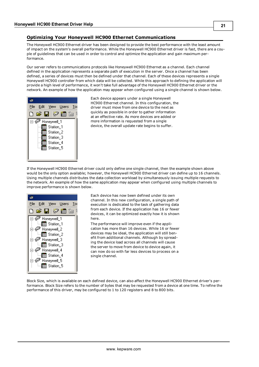## <span id="page-20-0"></span>**Optimizing Your Honeywell HC900 Ethernet Communications**

The Honeywell HC900 Ethernet driver has been designed to provide the best performance with the least amount of impact on the system's overall performance. While the Honeywell HC900 Ethernet driver is fast, there are a couple of guidelines that can be used in order to control and optimize the application and gain maximum performance.

Our server refers to communications protocols like Honeywell HC900 Ethernet as a channel. Each channel defined in the application represents a separate path of execution in the server. Once a channel has been defined, a series of devices must then be defined under that channel. Each of these devices represents a single Honeywell HC900 controller from which data will be collected. While this approach to defining the application will provide a high level of performance, it won't take full advantage of the Honeywell HC900 Ethernet driver or the network. An example of how the application may appear when configured using a single channel is shown below.



Each device appears under a single Honeywell HC900 Ethernet channel. In this configuration, the driver must move from one device to the next as quickly as possible in order to gather information at an effective rate. As more devices are added or more information is requested from a single device, the overall update rate begins to suffer.

If the Honeywell HC900 Ethernet driver could only define one single channel, then the example shown above would be the only option available; however, the Honeywell HC900 Ethernet driver can define up to 16 channels. Using multiple channels distributes the data collection workload by simultaneously issuing multiple requests to the network. An example of how the same application may appear when configured using multiple channels to improve performance is shown below.



Each device has now been defined under its own channel. In this new configuration, a single path of execution is dedicated to the task of gathering data from each device. If the application has 16 or fewer devices, it can be optimized exactly how it is shown here.

The performance will improve even if the application has more than 16 devices. While 16 or fewer devices may be ideal, the application will still benefit from additional channels. Although by spreading the device load across all channels will cause the server to move from device to device again, it can now do so with far less devices to process on a single channel.

Block Size, which is available on each defined device, can also affect the Honeywell HC900 Ethernet driver's performance. Block Size refers to the number of bytes that may be requested from a device at one time. To refine the performance of this driver, may be configured to 1 to 120 registers and 8 to 800 bits.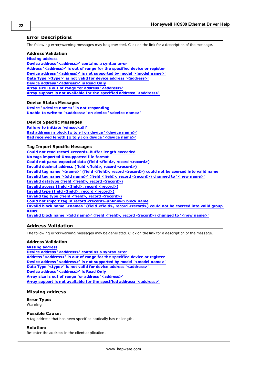## <span id="page-21-0"></span>**Error Descriptions**

The following error/warning messages may be generated. Click on the link for a description of the message.

#### **Address Validation**

**[Missing](#page-21-2) [address](#page-21-2)**

**[Device](#page-22-0) [address](#page-22-0) ['<address>'](#page-22-0) [contains](#page-22-0) [a](#page-22-0) [syntax](#page-22-0) [error](#page-22-0) [Address](#page-22-1) ['<address>'](#page-22-1) [is](#page-22-1) [out](#page-22-1) [of](#page-22-1) [range](#page-22-1) [for](#page-22-1) [the](#page-22-1) [specified](#page-22-1) [device](#page-22-1) [or](#page-22-1) [register](#page-22-1) [Device](#page-22-2) [address](#page-22-2) ['<address>'](#page-22-2) [is](#page-22-2) [not](#page-22-2) [supported](#page-22-2) [by](#page-22-2) [model](#page-22-2) ['<model](#page-22-2) [name>'](#page-22-2) [Data](#page-22-3) [Type](#page-22-3) ['<type>'](#page-22-3) [is](#page-22-3) [not](#page-22-3) [valid](#page-22-3) [for](#page-22-3) [device](#page-22-3) [address](#page-22-3) ['<address>'](#page-22-3) [Device](#page-22-4) [address](#page-22-4) ['<address>'](#page-22-4) [is](#page-22-4) [Read](#page-22-4) [Only](#page-22-4) [Array](#page-22-5) [size](#page-22-5) [is](#page-22-5) [out](#page-22-5) [of](#page-22-5) [range](#page-22-5) [for](#page-22-5) [address](#page-22-5) ['<address>'](#page-22-5) [Array](#page-23-0) [support](#page-23-0) [is](#page-23-0) [not](#page-23-0) [available](#page-23-0) [for](#page-23-0) [the](#page-23-0) [specified](#page-23-0) [address:](#page-23-0) ['<address>'](#page-23-0)**

#### **Device Status Messages**

**[Device](#page-23-2) ['<device](#page-23-2) [name>'](#page-23-2) [is](#page-23-2) [not](#page-23-2) [responding](#page-23-2) [Unable](#page-23-3) [to](#page-23-3) [write](#page-23-3) [to](#page-23-3) ['<address>'](#page-23-3) [on](#page-23-3) [device](#page-23-3) ['<device](#page-23-3) [name>'](#page-23-3)**

### **Device Specific Messages**

**[Failure](#page-24-0) [to](#page-24-0) [initiate](#page-24-0) ['winsock.dll'](#page-24-0) [Bad](#page-24-1) [address](#page-24-1) [in](#page-24-1) [block](#page-24-1) [\[x](#page-24-1) [to](#page-24-1) [y\]](#page-24-1) [on](#page-24-1) [device](#page-24-1) ['<device](#page-24-1) [name>'](#page-24-1) [Bad](#page-24-2) [received](#page-24-2) [length](#page-24-2) [\[x](#page-24-2) [to](#page-24-2) [y\]](#page-24-2) [on](#page-24-2) [device](#page-24-2) ['<device](#page-24-2) [name>'](#page-24-2)**

#### **Tag Import Specific Messages**

**[Could](#page-24-4) [not](#page-24-4) [read](#page-24-4) [record](#page-24-4) [<record>-Buffer](#page-24-4) [length](#page-24-4) [exceeded](#page-24-4) [No](#page-25-0) [tags](#page-25-0) [imported-Unsupported](#page-25-0) [file](#page-25-0) [format](#page-25-0) [Could](#page-25-1) [not](#page-25-1) [parse](#page-25-1) [expected](#page-25-1) [data](#page-25-1) [\(field](#page-25-1) [<field>,](#page-25-1) [record](#page-25-1) [<record>\)](#page-25-1) [Invalid](#page-25-2) [decimal](#page-25-2) [address](#page-25-2) [\(field](#page-25-2) [<field>,](#page-25-2) [record](#page-25-2) [<record>\)](#page-25-2) [Invalid](#page-25-3) [tag](#page-25-3) [name](#page-25-3) ['<name>'](#page-25-3) [\(field](#page-25-3) [<field>,](#page-25-3) [record](#page-25-3) [<record>\)](#page-25-3) [could](#page-25-3) [not](#page-25-3) [be](#page-25-3) [coerced](#page-25-3) [into](#page-25-3) [valid](#page-25-3) [name](#page-25-3) [Invalid](#page-26-0) [tag](#page-26-0) [name](#page-26-0) ['<old](#page-26-0) [name>'](#page-26-0) [\(field](#page-26-0) [<field>,](#page-26-0) [record](#page-26-0) [<record>\)](#page-26-0) [changed](#page-26-0) [to](#page-26-0) ['<new](#page-26-0) [name>'](#page-26-0) [Invalid](#page-26-1) [datatype](#page-26-1) [\(field](#page-26-1) [<field>,](#page-26-1) [record](#page-26-1) [<record>\)](#page-26-1) [Invalid](#page-26-2) [access](#page-26-2) [\(field](#page-26-2) [<field>,](#page-26-2) [record](#page-26-2) [<record>\)](#page-26-2) [Invalid](#page-26-3) [type](#page-26-3) [\(field](#page-26-3) [<field>,](#page-26-3) [record](#page-26-3) [<record>\)](#page-26-3) [Invalid](#page-27-0) [tag](#page-27-0) [type](#page-27-0) [\(field](#page-27-0) [<field>,](#page-27-0) [record](#page-27-0) [<record>\)](#page-27-0) [Could](#page-27-1) [not](#page-27-1) [import](#page-27-1) [tag](#page-27-1) [in](#page-27-1) [record](#page-27-1) [<record>-unknown](#page-27-1) [block](#page-27-1) [name](#page-27-1) [Invalid](#page-27-2) [block](#page-27-2) [name](#page-27-2) ['<name>'](#page-27-2) [\(field](#page-27-2) [<field>,](#page-27-2) [record](#page-27-2) [<record>\)](#page-27-2) [could](#page-27-2) [not](#page-27-2) [be](#page-27-2) [coerced](#page-27-2) [into](#page-27-2) [valid](#page-27-2) [group](#page-27-2) [name](#page-27-2) [Invalid](#page-27-3) [block](#page-27-3) [name](#page-27-3) ['<old](#page-27-3) [name>'](#page-27-3) [\(field](#page-27-3) [<field>,](#page-27-3) [record](#page-27-3) [<record>\)](#page-27-3) [changed](#page-27-3) [to](#page-27-3) ['<new](#page-27-3) [name>'](#page-27-3)**

## <span id="page-21-1"></span>**Address Validation**

The following error/warning messages may be generated. Click on the link for a description of the message.

#### **Address Validation**

**[Missing](#page-21-2) [address](#page-21-2) [Device](#page-22-0) [address](#page-22-0) ['<address>'](#page-22-0) [contains](#page-22-0) [a](#page-22-0) [syntax](#page-22-0) [error](#page-22-0) [Address](#page-22-1) ['<address>'](#page-22-1) [is](#page-22-1) [out](#page-22-1) [of](#page-22-1) [range](#page-22-1) [for](#page-22-1) [the](#page-22-1) [specified](#page-22-1) [device](#page-22-1) [or](#page-22-1) [register](#page-22-1) [Device](#page-22-2) [address](#page-22-2) ['<address>'](#page-22-2) [is](#page-22-2) [not](#page-22-2) [supported](#page-22-2) [by](#page-22-2) [model](#page-22-2) ['<model](#page-22-2) [name>'](#page-22-2) [Data](#page-22-3) [Type](#page-22-3) ['<type>'](#page-22-3) [is](#page-22-3) [not](#page-22-3) [valid](#page-22-3) [for](#page-22-3) [device](#page-22-3) [address](#page-22-3) ['<address>'](#page-22-3) [Device](#page-22-4) [address](#page-22-4) ['<address>'](#page-22-4) [is](#page-22-4) [Read](#page-22-4) [Only](#page-22-4) [Array](#page-22-5) [size](#page-22-5) [is](#page-22-5) [out](#page-22-5) [of](#page-22-5) [range](#page-22-5) [for](#page-22-5) [address](#page-22-5) ['<address>'](#page-22-5) [Array](#page-23-0) [support](#page-23-0) [is](#page-23-0) [not](#page-23-0) [available](#page-23-0) [for](#page-23-0) [the](#page-23-0) [specified](#page-23-0) [address:](#page-23-0) ['<address>'](#page-23-0)**

## <span id="page-21-2"></span>**Missing address**

## **Error Type:**

Warning

## **Possible Cause:**

A tag address that has been specified statically has no length.

#### **Solution:**

Re-enter the address in the client application.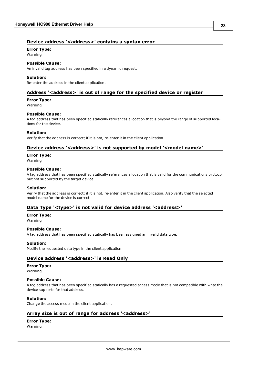## <span id="page-22-0"></span>Device address '<address>' contains a syntax error

### **Error Type:**

Warning

### **Possible Cause:**

An invalid tag address has been specified in a dynamic request.

#### **Solution:**

<span id="page-22-1"></span>Re-enter the address in the client application.

## **Address '<address>' is out of range for the specified device or register**

## **Error Type:**

Warning

#### **Possible Cause:**

A tag address that has been specified statically references a location that is beyond the range of supported locations for the device.

#### **Solution:**

<span id="page-22-2"></span>Verify that the address is correct; if it is not, re-enter it in the client application.

## Device address '<address>' is not supported by model '<model name>'

#### **Error Type:**

Warning

#### **Possible Cause:**

A tag address that has been specified statically references a location that is valid for the communications protocol but not supported by the target device.

#### **Solution:**

Verify that the address is correct; if it is not, re-enter it in the client application. Also verify that the selected model name for the device is correct.

## <span id="page-22-3"></span>Data Type '<type>' is not valid for device address '<address>'

#### **Error Type:**

Warning

## **Possible Cause:**

A tag address that has been specified statically has been assigned an invalid data type.

## **Solution:**

<span id="page-22-4"></span>Modify the requested data type in the client application.

## **Device address '<address>' is Read Only**

#### **Error Type:**

Warning

## **Possible Cause:**

A tag address that has been specified statically has a requested access mode that is not compatible with what the device supports for that address.

## **Solution:**

<span id="page-22-5"></span>Change the access mode in the client application.

## **Array size is out of range for address '<address>'**

## **Error Type:**

Warning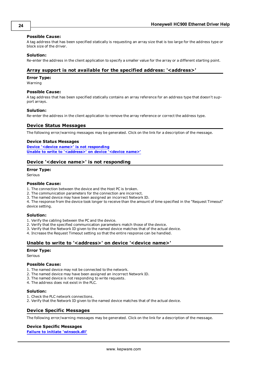#### **Possible Cause:**

A tag address that has been specified statically is requesting an array size that is too large for the address type or block size of the driver.

#### **Solution:**

<span id="page-23-0"></span>Re-enter the address in the client application to specify a smaller value for the array or a different starting point.

## **Array support is not available for the specified address: '<address>'**

#### **Error Type:**

Warning

#### **Possible Cause:**

A tag address that has been specified statically contains an array reference for an address type that doesn't support arrays.

#### **Solution:**

<span id="page-23-1"></span>Re-enter the address in the client application to remove the array reference or correct the address type.

## **Device Status Messages**

The following error/warning messages may be generated. Click on the link for a description of the message.

#### **Device Status Messages**

**[Device](#page-23-2) ['<device](#page-23-2) [name>'](#page-23-2) [is](#page-23-2) [not](#page-23-2) [responding](#page-23-2) [Unable](#page-23-3) [to](#page-23-3) [write](#page-23-3) [to](#page-23-3) ['<address>'](#page-23-3) [on](#page-23-3) [device](#page-23-3) ['<device](#page-23-3) [name>'](#page-23-3)**

## <span id="page-23-2"></span>**Device '<device name>' is not responding**

#### **Error Type:**

Serious

#### **Possible Cause:**

- 1. The connection between the device and the Host PC is broken.
- 2. The communication parameters for the connection are incorrect.
- 3. The named device may have been assigned an incorrect Network ID.

4. The response from the device took longer to receive than the amount of time specified in the "Request Timeout" device setting.

#### **Solution:**

- 1. Verify the cabling between the PC and the device.
- 2. Verify that the specified communication parameters match those of the device.
- 3. Verify that the Network ID given to the named device matches that of the actual device.

<span id="page-23-3"></span>4. Increase the Request Timeout setting so that the entire response can be handled.

## Unable to write to '<address>' on device '<device name>'

#### **Error Type:**

Serious

#### **Possible Cause:**

- 1. The named device may not be connected to the network.
- 2. The named device may have been assigned an incorrect Network ID.
- 3. The named device is not responding to write requests.
- 4. The address does not exist in the PLC.

#### **Solution:**

- 1. Check the PLC network connections.
- <span id="page-23-4"></span>2. Verify that the Network ID given to the named device matches that of the actual device.

## **Device Specific Messages**

The following error/warning messages may be generated. Click on the link for a description of the message.

## **Device Specific Messages**

**[Failure](#page-24-0) [to](#page-24-0) [initiate](#page-24-0) ['winsock.dll'](#page-24-0)**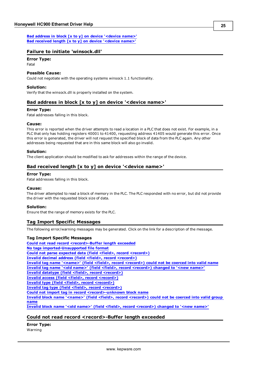## <span id="page-24-0"></span>**Failure to initiate 'winsock.dll'**

## **Error Type:**

Fatal

## **Possible Cause:**

Could not negotiate with the operating systems winsock 1.1 functionality.

## **Solution:**

<span id="page-24-1"></span>Verify that the winsock.dll is properly installed on the system.

## **Bad address in block [x to y] on device '<device name>'**

## **Error Type:**

Fatal addresses falling in this block.

#### **Cause:**

This error is reported when the driver attempts to read a location in a PLC that does not exist. For example, in a PLC that only has holding registers 40001 to 41400, requesting address 41405 would generate this error. Once this error is generated, the driver will not request the specified block of data from the PLC again. Any other addresses being requested that are in this same block will also go invalid.

#### **Solution:**

<span id="page-24-2"></span>The client application should be modified to ask for addresses within the range of the device.

## **Bad received length [x to y] on device '<device name>'**

#### **Error Type:**

Fatal addresses falling in this block.

#### **Cause:**

The driver attempted to read a block of memory in the PLC. The PLC responded with no error, but did not provide the driver with the requested block size of data.

## **Solution:**

<span id="page-24-3"></span>Ensure that the range of memory exists for the PLC.

## **Tag Import Specific Messages**

The following error/warning messages may be generated. Click on the link for a description of the message.

#### **Tag Import Specific Messages**

**[Could](#page-24-4) [not](#page-24-4) [read](#page-24-4) [record](#page-24-4) [<record>-Buffer](#page-24-4) [length](#page-24-4) [exceeded](#page-24-4) [No](#page-25-0) [tags](#page-25-0) [imported-Unsupported](#page-25-0) [file](#page-25-0) [format](#page-25-0) [Could](#page-25-1) [not](#page-25-1) [parse](#page-25-1) [expected](#page-25-1) [data](#page-25-1) [\(field](#page-25-1) [<field>,](#page-25-1) [record](#page-25-1) [<record>\)](#page-25-1) [Invalid](#page-25-2) [decimal](#page-25-2) [address](#page-25-2) [\(field](#page-25-2) [<field>,](#page-25-2) [record](#page-25-2) [<record>\)](#page-25-2) [Invalid](#page-25-3) [tag](#page-25-3) [name](#page-25-3) ['<name>'](#page-25-3) [\(field](#page-25-3) [<field>,](#page-25-3) [record](#page-25-3) [<record>\)](#page-25-3) [could](#page-25-3) [not](#page-25-3) [be](#page-25-3) [coerced](#page-25-3) [into](#page-25-3) [valid](#page-25-3) [name](#page-25-3) [Invalid](#page-26-0) [tag](#page-26-0) [name](#page-26-0) ['<old](#page-26-0) [name>'](#page-26-0) [\(field](#page-26-0) [<field>,](#page-26-0) [record](#page-26-0) [<record>\)](#page-26-0) [changed](#page-26-0) [to](#page-26-0) ['<new](#page-26-0) [name>'](#page-26-0) [Invalid](#page-26-1) [datatype](#page-26-1) [\(field](#page-26-1) [<field>,](#page-26-1) [record](#page-26-1) [<record>\)](#page-26-1) [Invalid](#page-26-2) [access](#page-26-2) [\(field](#page-26-2) [<field>,](#page-26-2) [record](#page-26-2) [<record>\)](#page-26-2) [Invalid](#page-26-3) [type](#page-26-3) [\(field](#page-26-3) [<field>,](#page-26-3) [record](#page-26-3) [<record>\)](#page-26-3) [Invalid](#page-27-0) [tag](#page-27-0) [type](#page-27-0) [\(field](#page-27-0) [<field>,](#page-27-0) [record](#page-27-0) [<record>\)](#page-27-0) [Could](#page-27-1) [not](#page-27-1) [import](#page-27-1) [tag](#page-27-1) [in](#page-27-1) [record](#page-27-1) [<record>-unknown](#page-27-1) [block](#page-27-1) [name](#page-27-1) [Invalid](#page-27-2) [block](#page-27-2) [name](#page-27-2) ['<name>'](#page-27-2) [\(field](#page-27-2) [<field>,](#page-27-2) [record](#page-27-2) [<record>\)](#page-27-2) [could](#page-27-2) [not](#page-27-2) [be](#page-27-2) [coerced](#page-27-2) [into](#page-27-2) [valid](#page-27-2) [group](#page-27-2) [name](#page-27-2) [Invalid](#page-27-3) [block](#page-27-3) [name](#page-27-3) ['<old](#page-27-3) [name>'](#page-27-3) [\(field](#page-27-3) [<field>,](#page-27-3) [record](#page-27-3) [<record>\)](#page-27-3) [changed](#page-27-3) [to](#page-27-3) ['<new](#page-27-3) [name>'](#page-27-3)**

## <span id="page-24-4"></span>**Could not read record <record>-Buffer length exceeded**

**Error Type:** Warning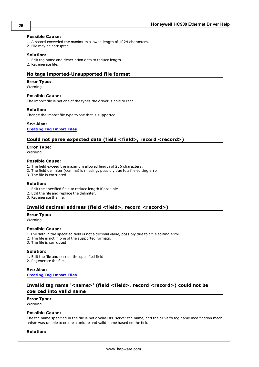#### **Possible Cause:**

- 1. A record exceeded the maximum allowed length of 1024 characters.
- 2. File may be corrupted.

#### **Solution:**

1. Edit tag name and description data to reduce length.

<span id="page-25-0"></span>2. Regenerate file.

## **No tags imported-Unsupported file format**

#### **Error Type:**

Warning

#### **Possible Cause:**

The import file is not one of the types the driver is able to read.

#### **Solution:**

Change the import file type to one that is supported.

## **See Also:**

## <span id="page-25-1"></span>**[Creating](#page-13-0) [Tag](#page-13-0) [Import](#page-13-0) [Files](#page-13-0)**

## **Could not parse expected data (field <field>, record <record>)**

#### **Error Type:**

Warning

#### **Possible Cause:**

- 1. The field exceed the maximum allowed length of 256 characters.
- 2. The field delimiter (comma) is missing, possibly due to a file editing error.
- 3. The file is corrupted.

#### **Solution:**

- 1. Edit the specified field to reduce length if possible.
- 2. Edit the file and replace the delimiter.
- <span id="page-25-2"></span>3. Regenerate the file.

## **Invalid decimal address (field <field>, record <record>)**

### **Error Type:**

Warning

## **Possible Cause:**

- 1.The data in the specified field is not a decimal value, possibly due to a file editing error.
- 2. The file is not in one of the supported formats.
- 3. The file is corrupted.

#### **Solution:**

1. Edit the file and correct the specified field. 2. Regenerate the file.

## **See Also: [Creating](#page-13-0) [Tag](#page-13-0) [Import](#page-13-0) [Files](#page-13-0)**

## <span id="page-25-3"></span>**Invalid tag name '<name>' (field <field>, record <record>) could not be coerced into valid name**

## **Error Type:**

Warning

#### **Possible Cause:**

The tag name specified in the file is not a valid OPC server tag name, and the driver's tag name modification mechanism was unable to create a unique and valid name based on the field.

#### **Solution:**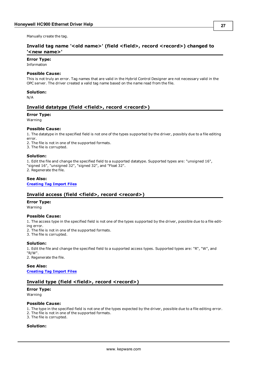<span id="page-26-0"></span>Manually create the tag.

## **Invalid tag name '<old name>' (field <field>, record <record>) changed to '<new name>'**

## **Error Type:**

Information

## **Possible Cause:**

This is not truly an error. Tag names that are valid in the Hybrid Control Designer are not necessary valid in the OPC server. The driver created a valid tag name based on the name read from the file.

## **Solution:**

<span id="page-26-1"></span>N/A

## **Invalid datatype (field <field>, record <record>)**

#### **Error Type:**

Warning

#### **Possible Cause:**

1. The datatype in the specified field is not one of the types supported by the driver, possibly due to a file editing error.

2. The file is not in one of the supported formats.

3. The file is corrupted.

#### **Solution:**

1. Edit the file and change the specified field to a supported datatype. Supported types are: "unsigned 16", "signed 16", "unsigned 32", "signed 32", and "Float 32".

2. Regenerate the file.

## **See Also:**

<span id="page-26-2"></span>**[Creating](#page-13-0) [Tag](#page-13-0) [Import](#page-13-0) [Files](#page-13-0)**

## **Invalid access (field <field>, record <record>)**

#### **Error Type:**

Warning

#### **Possible Cause:**

1. The access type in the specified field is not one of the types supported by the driver, possible due to a file editing error.

2. The file is not in one of the supported formats.

3. The file is corrupted.

## **Solution:**

1. Edit the file and change the specified field to a supported access types. Supported types are: "R", "W", and "R/W".

2. Regenerate the file.

**See Also: [Creating](#page-13-0) [Tag](#page-13-0) [Import](#page-13-0) [Files](#page-13-0)**

## <span id="page-26-3"></span>**Invalid type (field <field>, record <record>)**

## **Error Type:**

Warning

## **Possible Cause:**

1. The type in the specified field is not one of the types expected by the driver, possible due to a file editing error.

- 2. The file is not in one of the supported formats.
- 3. The file is corrupted.

## **Solution:**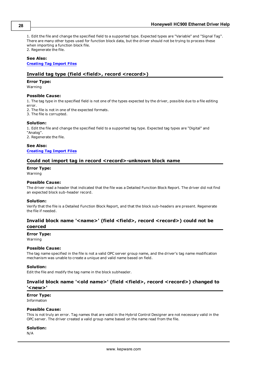1. Edit the file and change the specified field to a supported type. Expected types are "Variable" and "Signal Tag". There are many other types used for function block data, but the driver should not be trying to process these when importing a function block file. 2. Regenerate the file.

#### **See Also:**

#### <span id="page-27-0"></span>**[Creating](#page-13-0) [Tag](#page-13-0) [Import](#page-13-0) [Files](#page-13-0)**

## **Invalid tag type (field <field>, record <record>)**

#### **Error Type:**

Warning

#### **Possible Cause:**

1. The tag type in the specified field is not one of the types expected by the driver, possible due to a file editing error.

2. The file is not in one of the expected formats.

3. The file is corrupted.

#### **Solution:**

1. Edit the file and change the specified field to a supported tag type. Expected tag types are "Digital" and "Analog". 2. Regenerate the file.

**See Also: [Creating](#page-13-0) [Tag](#page-13-0) [Import](#page-13-0) [Files](#page-13-0)**

#### <span id="page-27-1"></span>**Could not import tag in record <record>-unknown block name**

#### **Error Type:**

Warning

#### **Possible Cause:**

The driver read a header that indicated that the file was a Detailed Function Block Report. The driver did not find an expected block sub-header record.

#### **Solution:**

Verify that the file is a Detailed Function Block Report, and that the block sub-headers are present. Regenerate the file if needed.

## <span id="page-27-2"></span>**Invalid block name '<name>' (field <field>, record <record>) could not be coerced**

#### **Error Type:**

Warning

#### **Possible Cause:**

The tag name specified in the file is not a valid OPC server group name, and the driver's tag name modification mechanism was unable to create a unique and valid name based on field.

#### **Solution:**

<span id="page-27-3"></span>Edit the file and modify the tag name in the block subheader.

## **Invalid block name '<old name>' (field <field>, record <record>) changed to '<new>'**

#### **Error Type:**

Information

#### **Possible Cause:**

This is not truly an error. Tag names that are valid in the Hybrid Control Designer are not necessary valid in the OPC server. The driver created a valid group name based on the name read from the file.

#### **Solution:**

N/A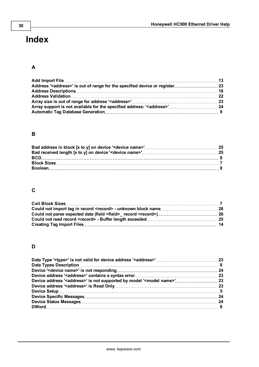# <span id="page-29-0"></span>**Index**

## **A**

## **B**

## **C**

## **D**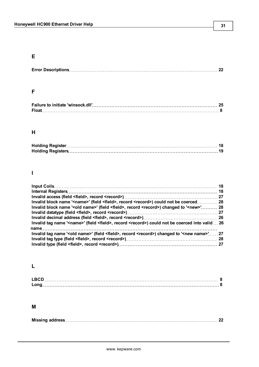## **E**

|--|--|--|

## **F**

| Failure to initiate 'winsock.dll'…………………………………………………………………………… 25 |  |
|-------------------------------------------------------------------|--|
|                                                                   |  |

## **H**

## **I**

| Invalid block name ' <name>' (field <field>, record <record>) could not be coerced 28</record></field></name>                 |  |
|-------------------------------------------------------------------------------------------------------------------------------|--|
| Invalid block name ' <old name="">' (field <field>, record <record>) changed to '<new>' 28</new></record></field></old>       |  |
|                                                                                                                               |  |
|                                                                                                                               |  |
| Invalid tag name ' <name>' (field <field>, record <record>) could not be coerced into valid  26</record></field></name>       |  |
|                                                                                                                               |  |
| Invalid tag name ' <old name="">' (field <field>, record <record>) changed to '<new name="">' 27</new></record></field></old> |  |
|                                                                                                                               |  |
|                                                                                                                               |  |

## **L**

## **M**

|--|